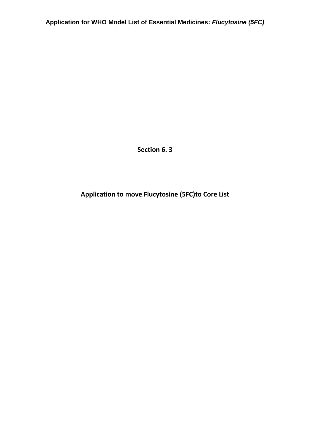**Section 6. 3**

**Application to move Flucytosine (5FC)to Core List**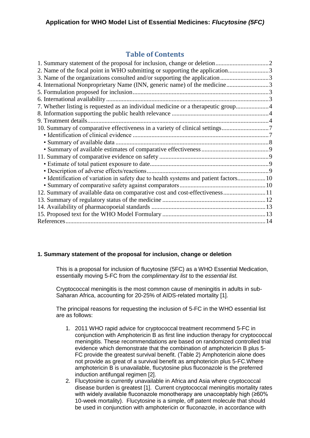# **Table of Contents**

| 2. Name of the focal point in WHO submitting or supporting the application3          |  |
|--------------------------------------------------------------------------------------|--|
| 3. Name of the organizations consulted and/or supporting the application3            |  |
| 4. International Nonproprietary Name (INN, generic name) of the medicine3            |  |
|                                                                                      |  |
|                                                                                      |  |
| 7. Whether listing is requested as an individual medicine or a therapeutic group 4   |  |
|                                                                                      |  |
|                                                                                      |  |
|                                                                                      |  |
|                                                                                      |  |
|                                                                                      |  |
|                                                                                      |  |
|                                                                                      |  |
|                                                                                      |  |
|                                                                                      |  |
| • Identification of variation in safety due to health systems and patient factors 10 |  |
|                                                                                      |  |
| 12. Summary of available data on comparative cost and cost-effectiveness11           |  |
|                                                                                      |  |
|                                                                                      |  |
|                                                                                      |  |
|                                                                                      |  |

## <span id="page-1-0"></span>**1. Summary statement of the proposal for inclusion, change or deletion**

This is a proposal for inclusion of flucytosine (5FC) as a WHO Essential Medication, essentially moving 5-FC from the *complimentary list* to the *essential list.*

Cryptococcal meningitis is the most common cause of meningitis in adults in sub-Saharan Africa, accounting for 20-25% of AIDS-related mortality [\[1\]](#page-13-1).

The principal reasons for requesting the inclusion of 5-FC in the WHO essential list are as follows:

- 1. 2011 WHO rapid advice for cryptococcal treatment recommend 5-FC in conjunction with Amphotericin B as first line induction therapy for cryptococcal meningitis. These recommendations are based on randomized controlled trial evidence which demonstrate that the combination of amphotericin B plus 5- FC provide the greatest survival benefit. (Table 2) Amphotericin alone does not provide as great of a survival benefit as amphotericin plus 5-FC.Where amphotericin B is unavailable, flucytosine plus fluconazole is the preferred induction antifungal regimen [\[2\]](#page-13-2).
- 2. Flucytosine is currently unavailable in Africa and Asia where cryptococcal disease burden is greatest [\[1\]](#page-13-1). Current cryptococcal meningitis mortality rates with widely available fluconazole monotherapy are unacceptably high (≥60% 10-week mortality). Flucytosine is a simple, off patent molecule that should be used in conjunction with amphotericin or fluconazole, in accordance with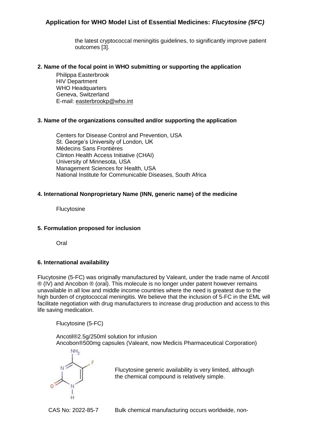the latest cryptococcal meningitis guidelines, to significantly improve patient outcomes [\[3\]](#page-13-3).

### <span id="page-2-0"></span>**2. Name of the focal point in WHO submitting or supporting the application**

Philippa Easterbrook HIV Department WHO Headquarters Geneva, Switzerland E-mail: [easterbrookp@who.int](mailto:easterbrookp@who.int)

### <span id="page-2-1"></span>**3. Name of the organizations consulted and/or supporting the application**

Centers for Disease Control and Prevention, USA St. George's University of London, UK Médecins Sans Frontières Clinton Health Access Initiative (CHAI) University of Minnesota, USA Management Sciences for Health, USA National Institute for Communicable Diseases, South Africa

### <span id="page-2-2"></span>**4. International Nonproprietary Name (INN, generic name) of the medicine**

Flucytosine

### <span id="page-2-3"></span>**5. Formulation proposed for inclusion**

Oral

### <span id="page-2-4"></span>**6. International availability**

Flucytosine (5-FC) was originally manufactured by Valeant, under the trade name of Ancotil ® (IV) and Ancobon ® (oral). This molecule is no longer under patent however remains unavailable in all low and middle income countries where the need is greatest due to the high burden of cryptococcal meningitis. We believe that the inclusion of 5-FC in the EML will facilitate negotiation with drug manufacturers to increase drug production and access to this life saving medication.

Flucytosine (5-FC)

Ancotil®2.5g/250ml solution for infusion Ancobon®500mg capsules (Valeant, now Medicis Pharmaceutical Corporation)



Flucytosine generic availability is very limited, although the chemical compound is relatively simple.

CAS No: 2022-85-7 Bulk chemical manufacturing occurs worldwide, non-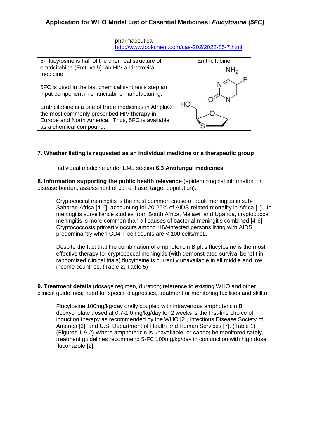pharmaceutical <http://www.lookchem.com/cas-202/2022-85-7.html>



### <span id="page-3-0"></span>**7. Whether listing is requested as an individual medicine or a therapeutic group**

Individual medicine under EML section **6.3 Antifungal medicines**

<span id="page-3-1"></span>**8. Information supporting the public health relevance** (epidemiological information on disease burden, assessment of current use, target population):

Cryptococcal meningitis is the most common cause of adult meningitis in sub-Saharan Africa [\[4-6\]](#page-13-4), accounting for 20-25% of AIDS-related mortality in Africa [\[1\]](#page-13-1). In meningitis surveillance studies from South Africa, Malawi, and Uganda, cryptococcal meningitis is more common than all causes of bacterial meningitis combined [\[4-6\]](#page-13-4). Cryptococcosis primarily occurs among HIV-infected persons living with AIDS, predominantly when CD4 T cell counts are < 100 cells/mcL.

Despite the fact that the combination of amphotericin B plus flucytosine is the most effective therapy for cryptococcal meningitis (with demonstrated survival benefit in randomized clinical trials) flucytosine is currently unavailable in all middle and low income countries. (Table 2, Table 5)

<span id="page-3-2"></span>**9. Treatment details** (dosage regimen, duration; reference to existing WHO and other clinical guidelines; need for special diagnostics, treatment or monitoring facilities and skills):

Flucytosine 100mg/kg/day orally coupled with intravenous amphotericin B deoxycholate dosed at 0.7-1.0 mg/kg/day for 2 weeks is the first-line choice of induction therapy as recommended by the WHO [\[2\]](#page-13-2), Infectious Disease Society of America [\[3\]](#page-13-3), and U.S. Department of Health and Human Services [\[7\]](#page-13-5). (Table 1) (Figures 1 & 2) Where amphotericin is unavailable, or cannot be monitored safely, treatment guidelines recommend 5-FC 100mg/kg/day in conjunction with high dose fluconazole [\[2\]](#page-13-2).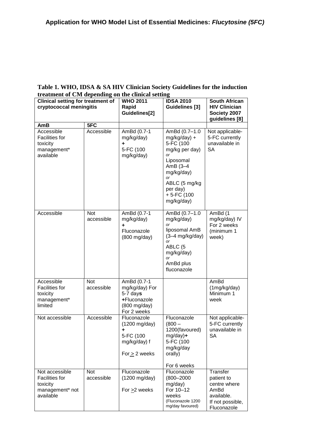## **Table 1. WHO, IDSA & SA HIV Clinician Society Guidelines for the induction treatment of CM depending on the clinical setting**

| $\frac{1}{2}$ or $\frac{1}{2}$ appending on<br><b>Clinical setting for treatment of</b><br>cryptococcal meningitis |                          | <b>WHO 2011</b><br>Rapid<br>Guidelines[2]                                                  | <b>IDSA 2010</b><br><b>Guidelines</b> [3]                                                                                                                                                    | <b>South African</b><br><b>HIV Clinician</b>                                                    |
|--------------------------------------------------------------------------------------------------------------------|--------------------------|--------------------------------------------------------------------------------------------|----------------------------------------------------------------------------------------------------------------------------------------------------------------------------------------------|-------------------------------------------------------------------------------------------------|
|                                                                                                                    |                          |                                                                                            |                                                                                                                                                                                              | Society 2007<br>guidelines [8]                                                                  |
| AmB<br>Accessible<br><b>Facilities for</b><br>toxicity<br>management*<br>available                                 | 5FC<br>Accessible        | AmBd (0.7-1<br>mg/kg/day)<br>٠<br>5-FC (100<br>mg/kg/day)                                  | AmBd (0.7-1.0<br>mg/kg/day) +<br>5-FC (100<br>mg/kg per day)<br><b>or</b><br>Liposomal<br>AmB $(3-4)$<br>mg/kg/day)<br><b>or</b><br>ABLC (5 mg/kg<br>per day)<br>$+5$ -FC (100<br>mg/kg/day) | Not applicable-<br>5-FC currently<br>unavailable in<br><b>SA</b>                                |
| Accessible                                                                                                         | <b>Not</b><br>accessible | AmBd (0.7-1<br>mg/kg/day)<br>÷<br>Fluconazole<br>(800 mg/day)                              | AmBd (0.7-1.0<br>mg/kg/day)<br><b>or</b><br>liposomal AmB<br>$(3-4$ mg/kg/day)<br>or<br>ABLC (5<br>mg/kg/day)<br><b>or</b><br>AmBd plus<br>fluconazole                                       | AmBd (1<br>mg/kg/day) IV<br>For 2 weeks<br>(minimum 1<br>week)                                  |
| Accessible<br><b>Facilities for</b><br>toxicity<br>management*<br>limited                                          | <b>Not</b><br>accessible | AmBd (0.7-1<br>mg/kg/day) For<br>$5-7$ days<br>+Fluconazole<br>(800 mg/day)<br>For 2 weeks |                                                                                                                                                                                              | AmBd<br>(1mg/kg/day)<br>Minimum 1<br>week                                                       |
| Not accessible                                                                                                     | Accessible               | Fluconazole<br>(1200 mg/day)<br>5-FC (100<br>mg/kg/day) f<br>For $\geq$ 2 weeks            | Fluconazole<br>$(800 -$<br>1200(favoured)<br>$mg/day$ )+<br>5-FC (100<br>mg/kg/day<br>orally)<br>For 6 weeks                                                                                 | Not applicable-<br>5-FC currently<br>unavailable in<br>SА                                       |
| Not accessible<br><b>Facilities for</b><br>toxicity<br>management* not<br>available                                | <b>Not</b><br>accessible | Fluconazole<br>(1200 mg/day)<br>For $\geq$ weeks                                           | Fluconazole<br>$(800 - 2000)$<br>mg/day)<br>For 10-12<br>weeks<br>(Fluconazole 1200<br>mg/day favoured)                                                                                      | Transfer<br>patient to<br>centre where<br>AmBd<br>available.<br>If not possible,<br>Fluconazole |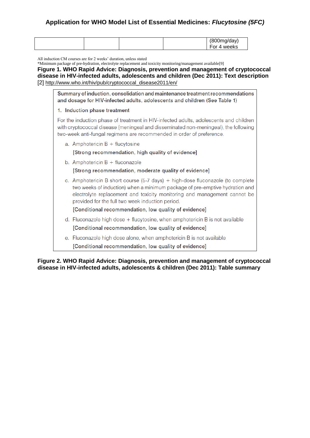|  |  | (800mg/day) |
|--|--|-------------|
|  |  | For 4 weeks |

All induction CM courses are for 2 weeks' duration, unless stated

\*Minimum package of pre-hydration, electrolyte replacement and toxicity monitoring/management available[\[9\]](#page-13-7) **Figure 1. WHO Rapid Advice: Diagnosis, prevention and management of cryptococcal disease in HIV-infected adults, adolescents and children (Dec 2011): Text description** [\[2\]](#page-13-2) [http://www.who.int/hiv/pub/cryptococcal\\_disease2011/en/](http://www.who.int/hiv/pub/cryptococcal_disease2011/en/)

Summary of induction, consolidation and maintenance treatment recommendations and dosage for HIV-infected adults, adolescents and children (See Table 1)

#### 1. Induction phase treatment

For the induction phase of treatment in HIV-infected adults, adolescents and children with cryptococcal disease (meningeal and disseminated non-meningeal), the following two-week anti-fungal regimens are recommended in order of preference.

a. Amphotericin  $B +$  flucytosine

#### [Strong recommendation, high quality of evidence]

b. Amphotericin  $B +$  fluconazole

#### [Strong recommendation, moderate quality of evidence]

c. Amphotericin B short course (5-7 days) + high-dose fluconazole (to complete two weeks of induction) when a minimum package of pre-emptive hydration and electrolyte replacement and toxicity monitoring and management cannot be provided for the full two week induction period.

#### [Conditional recommendation, low quality of evidence]

- d. Fluconazole high dose + flucytosine, when amphotericin B is not available [Conditional recommendation, low quality of evidence]
- e. Fluconazole high dose alone, when amphotericin B is not available [Conditional recommendation, low quality of evidence]

**Figure 2. WHO Rapid Advice: Diagnosis, prevention and management of cryptococcal disease in HIV-infected adults, adolescents & children (Dec 2011): Table summary**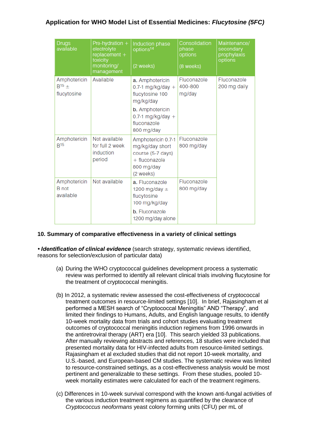| <b>Drugs</b><br>available                     | Pre-hydration +<br>electrolyte<br>replacement +<br>toxicity | Induction phase<br>options <sup>14</sup>                                                                                                      | Consolidation<br>phase<br>options | Maintenance/<br>secondary<br>prophylaxis<br>options |
|-----------------------------------------------|-------------------------------------------------------------|-----------------------------------------------------------------------------------------------------------------------------------------------|-----------------------------------|-----------------------------------------------------|
|                                               | monitoring/<br>management                                   | (2 weeks)                                                                                                                                     | (8 weeks)                         |                                                     |
| Amphotericin<br>$B^{15}$ $\pm$<br>flucytosine | Available                                                   | a. Amphotericin<br>0.7-1 mg/kg/day $+$<br>flucytosine 100<br>mg/kg/day<br>b. Amphotericin<br>0.7-1 mg/kg/day $+$<br>fluconazole<br>800 mg/day | Fluconazole<br>400-800<br>mg/day  | Fluconazole<br>200 mg daily                         |
| Amphotericin<br>B <sup>15</sup>               | Not available<br>for full 2 week<br>induction<br>period     | Amphotericin 0.7-1<br>mg/kg/day short<br>course (5-7 days)<br>+ fluconazole<br>800 mg/day<br>(2 weeks)                                        | Fluconazole<br>800 mg/day         |                                                     |
| Amphotericin<br><b>B</b> not<br>available     | Not available                                               | a. Fluconazole<br>1200 mg/day $\pm$<br>flucytosine<br>100 mg/kg/day                                                                           | Fluconazole<br>800 mg/day         |                                                     |
|                                               |                                                             | b. Fluconazole<br>1200 mg/day alone                                                                                                           |                                   |                                                     |

## <span id="page-6-0"></span>**10. Summary of comparative effectiveness in a variety of clinical settings**

<span id="page-6-1"></span>*• Identification of clinical evidence* (search strategy, systematic reviews identified, reasons for selection/exclusion of particular data)

- (a) During the WHO cryptococcal guidelines development process a systematic review was performed to identify all relevant clinical trials involving flucytosine for the treatment of cryptococcal meningitis.
- (b) In 2012, a systematic review assessed the cost-effectiveness of cryptococcal treatment outcomes in resource-limited settings [\[10\]](#page-13-8). In brief, Rajasingham et al performed a MESH search of "Cryptococcal Meningitis" AND "Therapy", and limited their findings to Humans, Adults, and English language results, to identify 10-week mortality data from trials and cohort studies evaluating treatment outcomes of cryptococcal meningitis induction regimens from 1996 onwards in the antiretroviral therapy (ART) era [\[10\]](#page-13-8). This search yielded 33 publications. After manually reviewing abstracts and references, 18 studies were included that presented mortality data for HIV-infected adults from resource-limited settings. Rajasingham et al excluded studies that did not report 10-week mortality, and U.S.-based, and European-based CM studies. The systematic review was limited to resource-constrained settings, as a cost-effectiveness analysis would be most pertinent and generalizable to these settings. From these studies, pooled 10 week mortality estimates were calculated for each of the treatment regimens.
- (c) Differences in 10-week survival correspond with the known anti-fungal activities of the various induction treatment regimens as quantified by the clearance of *Cryptococcus neoformans* yeast colony forming units (CFU) per mL of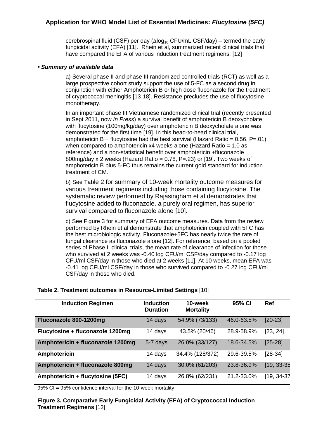cerebrospinal fluid (CSF) per day ( $\Delta$ log<sub>10</sub> CFU/mL CSF/day) – termed the early fungicidal activity (EFA) [\[11\]](#page-13-9). Rhein et al, summarized recent clinical trials that have compared the EFA of various induction treatment regimens. [\[12\]](#page-13-10)

### <span id="page-7-0"></span>*• Summary of available data*

a) Several phase II and phase III randomized controlled trials (RCT) as well as a large prospective cohort study support the use of 5-FC as a second drug in conjunction with either Amphotericin B or high dose fluconazole for the treatment of cryptococcal meningitis [\[13-18\]](#page-13-11). Resistance precludes the use of flucytosine monotherapy.

In an important phase III Vietnamese randomized clinical trial (recently presented in Sept 2011, now *In Press*) a survival benefit of amphotericin B deoxycholate with flucytosine (100mg/kg/day) over amphotericin B deoxycholate alone was demonstrated for the first time [\[19\]](#page-14-0). In this head-to-head clinical trial, amphotericin B + flucytosine had the best survival (Hazard Ratio =  $0.56$ , P=.01) when compared to amphotericin x4 weeks alone (Hazard Ratio = 1.0 as reference) and a non-statistical benefit over amphotericin +fluconazole 800mg/day x 2 weeks (Hazard Ratio =  $0.78$ , P= $.23$ ) or [\[19\]](#page-14-0). Two weeks of amphotericin B plus 5-FC thus remains the current gold standard for induction treatment of CM.

b) See Table 2 for summary of 10-week mortality outcome measures for various treatment regimens including those containing flucytosine. The systematic review performed by Rajasingham et al demonstrates that flucytosine added to fluconazole, a purely oral regimen, has superior survival compared to fluconazole alone [\[10\]](#page-13-8).

c) See Figure 3 for summary of EFA outcome measures. Data from the review performed by Rhein et al demonstrate that amphotericin coupled with 5FC has the best microbiologic activity. Fluconazole+5FC has nearly twice the rate of fungal clearance as fluconazole alone [\[12\]](#page-13-10). For reference, based on a pooled series of Phase II clinical trials, the mean rate of clearance of infection for those who survived at 2 weeks was -0.40 log CFU/ml CSF/day compared to -0.17 log CFU/ml CSF/day in those who died at 2 weeks [\[11\]](#page-13-9). At 10 weeks, mean EFA was -0.41 log CFU/ml CSF/day in those who survived compared to -0.27 log CFU/ml CSF/day in those who died.

| <b>Induction Regimen</b>          | <b>Induction</b><br><b>Duration</b> | 10-week<br><b>Mortality</b> | 95% CI     | <b>Ref</b>    |
|-----------------------------------|-------------------------------------|-----------------------------|------------|---------------|
| Fluconazole 800-1200mg            | 14 days                             | 54.9% (73/133)              | 46.0-63.5% | $[20-23]$     |
| Flucytosine + fluconazole 1200mg  | 14 days                             | 43.5% (20/46)               | 28.9-58.9% | [23, 24]      |
| Amphotericin + fluconazole 1200mg | 5-7 days                            | 26.0% (33/127)              | 18.6-34.5% | $[25-28]$     |
| Amphotericin                      | 14 days                             | 34.4% (128/372)             | 29.6-39.5% | $[28-34]$     |
| Amphotericin + fluconazole 800mg  | 14 days                             | 30.0% (61/203)              | 23.8-36.9% | $[19, 33-35]$ |
| Amphotericin + flucytosine (5FC)  | 14 days                             | 26.8% (62/231)              | 21.2-33.0% | $[19, 34-37]$ |

### **Table 2. Treatment outcomes in Resource-Limited Settings** [\[10\]](#page-13-8)

95% CI = 95% confidence interval for the 10-week mortality

**Figure 3. Comparative Early Fungicidal Activity (EFA) of Cryptococcal Induction Treatment Regimens** [\[12\]](#page-13-10)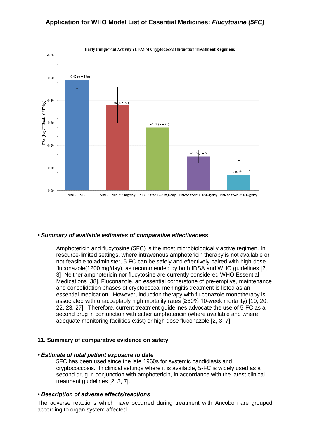

#### <span id="page-8-0"></span>*• Summary of available estimates of comparative effectiveness*

Amphotericin and flucytosine (5FC) is the most microbiologically active regimen. In resource-limited settings, where intravenous amphotericin therapy is not available or not-feasible to administer, 5-FC can be safely and effectively paired with high-dose fluconazole(1200 mg/day), as recommended by both IDSA and WHO guidelines [\[2,](#page-13-2) [3\]](#page-13-3) Neither amphotericin nor flucytosine are currently considered WHO Essential Medications [\[38\]](#page-15-2). Fluconazole, an essential cornerstone of pre-emptive, maintenance and consolidation phases of cryptococcal meningitis treatment is listed as an essential medication. However, induction therapy with fluconazole monotherapy is associated with unacceptably high mortality rates (≥60% 10-week mortality) [\[10,](#page-13-8) [20,](#page-14-1) [22,](#page-14-6) [23,](#page-14-2) [27\]](#page-14-7). Therefore, current treatment guidelines advocate the use of 5-FC as a second drug in conjunction with either amphotericin (where available and where adequate monitoring facilities exist) or high dose fluconazole [\[2,](#page-13-2) [3,](#page-13-3) [7\]](#page-13-5).

#### <span id="page-8-1"></span>**11. Summary of comparative evidence on safety**

#### <span id="page-8-2"></span>*• Estimate of total patient exposure to date*

5FC has been used since the late 1960s for systemic candidiasis and cryptococcosis. In clinical settings where it is available, 5-FC is widely used as a second drug in conjunction with amphotericin, in accordance with the latest clinical treatment guidelines [\[2,](#page-13-2) [3,](#page-13-3) [7\]](#page-13-5).

#### <span id="page-8-3"></span>*• Description of adverse effects/reactions*

The adverse reactions which have occurred during treatment with Ancobon are grouped according to organ system affected.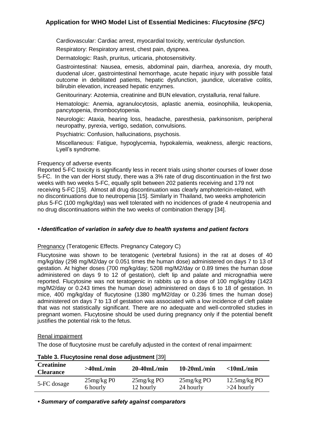Cardiovascular: Cardiac arrest, myocardial toxicity, ventricular dysfunction.

Respiratory: Respiratory arrest, chest pain, dyspnea.

Dermatologic: Rash, pruritus, urticaria, photosensitivity.

Gastrointestinal: Nausea, emesis, abdominal pain, diarrhea, anorexia, dry mouth, duodenal ulcer, gastrointestinal hemorrhage, acute hepatic injury with possible fatal outcome in debilitated patients, hepatic dysfunction, jaundice, ulcerative colitis, bilirubin elevation, increased hepatic enzymes.

Genitourinary: Azotemia, creatinine and BUN elevation, crystalluria, renal failure.

Hematologic: Anemia, agranulocytosis, aplastic anemia, eosinophilia, leukopenia, pancytopenia, thrombocytopenia.

Neurologic: Ataxia, hearing loss, headache, paresthesia, parkinsonism, peripheral neuropathy, pyrexia, vertigo, sedation, convulsions.

Psychiatric: Confusion, hallucinations, psychosis.

Miscellaneous: Fatigue, hypoglycemia, hypokalemia, weakness, allergic reactions, Lyell's syndrome.

#### Frequency of adverse events

Reported 5-FC toxicity is significantly less in recent trials using shorter courses of lower dose 5-FC. In the van der Horst study, there was a 3% rate of drug discontinuation in the first two weeks with two weeks 5-FC, equally split between 202 patients receiving and 179 not receiving 5-FC [\[15\]](#page-13-12). Almost all drug discontinuation was clearly amphotericin-related, with no discontinuations due to neutropenia [\[15\]](#page-13-12). Similarly in Thailand, two weeks amphotericin plus 5-FC (100 mg/kg/day) was well tolerated with no incidences of grade 4 neutropenia and no drug discontinuations within the two weeks of combination therapy [\[34\]](#page-15-1).

### <span id="page-9-0"></span>*• Identification of variation in safety due to health systems and patient factors*

### Pregnancy (Teratogenic Effects. Pregnancy Category C)

Flucytosine was shown to be teratogenic (vertebral fusions) in the rat at doses of 40 mg/kg/day (298 mg/M2/day or 0.051 times the human dose) administered on days 7 to 13 of gestation. At higher doses (700 mg/kg/day; 5208 mg/M2/day or 0.89 times the human dose administered on days 9 to 12 of gestation), cleft lip and palate and micrognathia were reported. Flucytosine was not teratogenic in rabbits up to a dose of 100 mg/kg/day (1423 mg/M2/day or 0.243 times the human dose) administered on days 6 to 18 of gestation. In mice, 400 mg/kg/day of flucytosine (1380 mg/M2/day or 0.236 times the human dose) administered on days 7 to 13 of gestation was associated with a low incidence of cleft palate that was not statistically significant. There are no adequate and well-controlled studies in pregnant women. Flucytosine should be used during pregnancy only if the potential benefit justifies the potential risk to the fetus.

#### Renal impairment

The dose of flucytosine must be carefully adjusted in the context of renal impairment:

| <b>Creatinine</b><br><b>Clearance</b> | $>40$ mL/min | $20-40mL/min$ | $10-20mL/min$ | $\langle 10mL/min$ |
|---------------------------------------|--------------|---------------|---------------|--------------------|
| 5-FC dosage                           | $25mg/kg$ PO | 25mg/kg PO    | 25mg/kg PO    | 12.5mg/kg PO       |
|                                       | 6 hourly     | 12 hourly     | 24 hourly     | $>24$ hourly       |

### **Table 3. Flucytosine renal dose adjustment** [\[39\]](#page-15-3)

<span id="page-9-1"></span>*• Summary of comparative safety against comparators*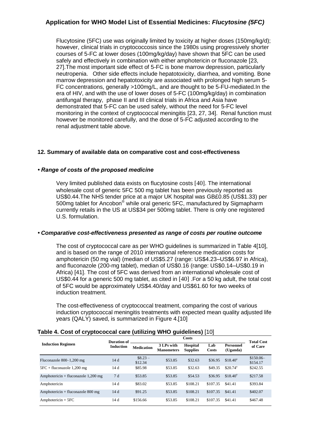Flucytosine (5FC) use was originally limited by toxicity at higher doses (150mg/kg/d); however, clinical trials in cryptococcosis since the 1980s using progressively shorter courses of 5-FC at lower doses (100mg/kg/day) have shown that 5FC can be used safely and effectively in combination with either amphotericin or fluconazole [\[23,](#page-14-2) [27\]](#page-14-7).The most important side effect of 5-FC is bone marrow depression, particularly neutropenia. Other side effects include hepatotoxicity, diarrhea, and vomiting. Bone marrow depression and hepatotoxicity are associated with prolonged high serum 5- FC concentrations, generally >100mg/L, and are thought to be 5-FU-mediated.In the era of HIV, and with the use of lower doses of 5-FC (100mg/kg/day) in combination antifungal therapy, phase II and III clinical trials in Africa and Asia have demonstrated that 5-FC can be used safely, without the need for 5-FC level monitoring in the context of cryptococcal meningitis [\[23,](#page-14-2) [27,](#page-14-7) [34\]](#page-15-1). Renal function must however be monitored carefully, and the dose of 5-FC adjusted according to the renal adjustment table above.

### <span id="page-10-0"></span>**12. Summary of available data on comparative cost and cost-effectiveness**

### *• Range of costs of the proposed medicine*

Very limited published data exists on flucytosine costs [\[40\]](#page-15-4). The international wholesale cost of generic 5FC 500 mg tablet has been previously reported as US\$0.44.The NHS tender price at a major UK hospital was GB£0.85 (US\$1.33) per 500mg tablet for Ancobon® while oral generic 5FC, manufactured by Sigmapharm currently retails in the US at US\$34 per 500mg tablet. There is only one registered U.S. formulation.

### *• Comparative cost-effectiveness presented as range of costs per routine outcome*

The cost of cryptococcal care as per WHO guidelines is summarized in Table 4[\[10\]](#page-13-8), and is based on the range of 2010 international reference medication costs for amphotericin (50 mg vial) (median of US\$5.27 (range: US\$4.23–US\$6.97 in Africa), and fluconazole (200-mg tablet), median of US\$0.16 (range: US\$0.14–US\$0.19 in Africa) [\[41\]](#page-15-5). The cost of 5FC was derived from an international wholesale cost of US\$0.44 for a generic 500 mg tablet, as cited in [\[40\]](#page-15-4) .For a 50 kg adult, the total cost of 5FC would be approximately US\$4.40/day and US\$61.60 for two weeks of induction treatment.

The cost-effectiveness of cryptococcal treatment, comparing the cost of various induction cryptococcal meningitis treatments with expected mean quality adjusted life years (QALY) saved, is summarized in Figure 4.[\[10\]](#page-13-8)

|                                       | Duration of      |                     |                                 | Costs                       |              |                       | <b>Total Cost</b>      |
|---------------------------------------|------------------|---------------------|---------------------------------|-----------------------------|--------------|-----------------------|------------------------|
| <b>Induction Regimen</b>              | <b>Induction</b> | <b>Medication</b>   | 3 LPs with<br><b>Manometers</b> | Hospital<br><b>Supplies</b> | Lab<br>Costs | Personnel<br>(Uganda) | of Care                |
| Fluconazole $800-1,200$ mg            | 14d              | $$8.23-$<br>\$12.34 | \$53.85                         | \$32.63                     | \$36.95      | $$18.40^a$            | $$150.06-$<br>\$154.17 |
| $5FC + fluconazole$ 1,200 mg          | 14 d             | \$85.98             | \$53.85                         | \$32.63                     | \$49.35      | \$20.74 <sup>a</sup>  | \$242.55               |
| Amphotericin + fluconazole $1,200$ mg | 7 d              | \$53.85             | \$53.85                         | \$54.53                     | \$36.95      | $$18.40^a$            | \$217.58               |
| Amphotericin                          | 14d              | \$83.02             | \$53.85                         | \$108.21                    | \$107.35     | \$41.41               | \$393.84               |
| Amphotericin + fluconazole 800 mg     | 14d              | \$91.25             | \$53.85                         | \$108.21                    | \$107.35     | \$41.41               | \$402.07               |
| $Amphotericin + 5FC$                  | 14 d             | \$156.66            | \$53.85                         | \$108.21                    | \$107.35     | \$41.41               | \$467.48               |

### **Table 4. Cost of cryptococcal care (utilizing WHO guidelines)** [\[10\]](#page-13-8)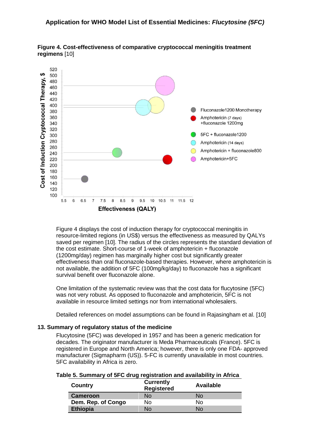



Figure 4 displays the cost of induction therapy for cryptococcal meningitis in resource-limited regions (in US\$) versus the effectiveness as measured by QALYs saved per regimen [\[10\]](#page-13-8). The radius of the circles represents the standard deviation of the cost estimate. Short-course of 1-week of amphotericin + fluconazole (1200mg/day) regimen has marginally higher cost but significantly greater effectiveness than oral fluconazole-based therapies. However, where amphotericin is not available, the addition of 5FC (100mg/kg/day) to fluconazole has a significant survival benefit over fluconazole alone.

One limitation of the systematic review was that the cost data for flucytosine (5FC) was not very robust. As opposed to fluconazole and amphotericin, 5FC is not available in resource limited settings nor from international wholesalers.

Detailed references on model assumptions can be found in Rajasingham et al. [\[10\]](#page-13-8)

### <span id="page-11-0"></span>**13. Summary of regulatory status of the medicine**

Flucytosine (5FC) was developed in 1957 and has been a generic medication for decades. The originator manufacturer is Meda Pharmaceuticals (France). 5FC is registered in Europe and North America; however, there is only one FDA- approved manufacturer (Sigmapharm (US)). 5-FC is currently unavailable in most countries. 5FC availability in Africa is zero.

### **Table 5. Summary of 5FC drug registration and availability in Africa**

| Country            | <b>Currently</b><br><b>Registered</b> | <b>Available</b> |
|--------------------|---------------------------------------|------------------|
| <b>Cameroon</b>    | No                                    | No               |
| Dem. Rep. of Congo | No                                    | No               |
| <b>Ethiopia</b>    | No                                    | No               |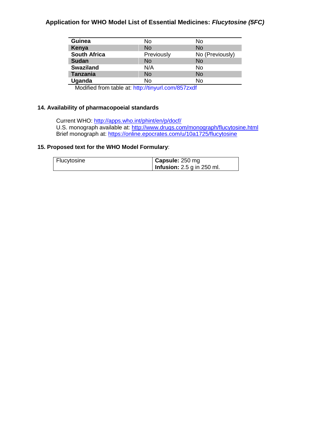| <b>Guinea</b>       | No         | No              |
|---------------------|------------|-----------------|
| Kenya               | <b>No</b>  | <b>No</b>       |
| <b>South Africa</b> | Previously | No (Previously) |
| <b>Sudan</b>        | <b>No</b>  | <b>No</b>       |
| <b>Swaziland</b>    | N/A        | No              |
| <b>Tanzania</b>     | No         | <b>No</b>       |
| Uganda              | No         | No              |

Modified from table at: http://tinyurl.com/857zxdf

### <span id="page-12-0"></span>**14. Availability of pharmacopoeial standards**

Current WHO:<http://apps.who.int/phint/en/p/docf/> U.S. monograph available at:<http://www.drugs.com/monograph/flucytosine.html> Brief monograph at:<https://online.epocrates.com/u/10a1725/flucytosine>

# <span id="page-12-1"></span>**15. Proposed text for the WHO Model Formulary**:

| Flucytosine | $\vert$ Capsule: 250 mg        |
|-------------|--------------------------------|
|             | Infusion: $2.5$ g in $250$ ml. |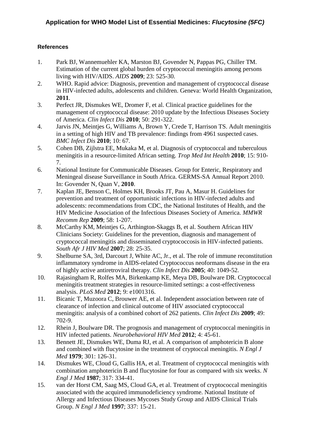## <span id="page-13-0"></span>**References**

- <span id="page-13-1"></span>1. Park BJ, Wannemuehler KA, Marston BJ, Govender N, Pappas PG, Chiller TM. Estimation of the current global burden of cryptococcal meningitis among persons living with HIV/AIDS. *AIDS* **2009**; 23: 525-30.
- <span id="page-13-2"></span>2. WHO. Rapid advice: Diagnosis, prevention and management of cryptococcal disease in HIV-infected adults, adolescents and children. Geneva: World Health Organization, **2011**.
- <span id="page-13-3"></span>3. Perfect JR, Dismukes WE, Dromer F, et al. Clinical practice guidelines for the management of cryptococcal disease: 2010 update by the Infectious Diseases Society of America. *Clin Infect Dis* **2010**; 50: 291-322.
- <span id="page-13-4"></span>4. Jarvis JN, Meintjes G, Williams A, Brown Y, Crede T, Harrison TS. Adult meningitis in a setting of high HIV and TB prevalence: findings from 4961 suspected cases. *BMC Infect Dis* **2010**; 10: 67.
- 5. Cohen DB, Zijlstra EE, Mukaka M, et al. Diagnosis of cryptococcal and tuberculous meningitis in a resource-limited African setting. *Trop Med Int Health* **2010**; 15: 910- 7.
- 6. National Institute for Communicable Diseases. Group for Enteric, Respiratory and Meningeal disease Surveillance in South Africa. GERMS-SA Annual Report 2010. In: Govender N, Quan V, **2010**.
- <span id="page-13-5"></span>7. Kaplan JE, Benson C, Holmes KH, Brooks JT, Pau A, Masur H. Guidelines for prevention and treatment of opportunistic infections in HIV-infected adults and adolescents: recommendations from CDC, the National Institutes of Health, and the HIV Medicine Association of the Infectious Diseases Society of America. *MMWR Recomm Rep* **2009**; 58: 1-207.
- <span id="page-13-6"></span>8. McCarthy KM, Meintjes G, Arthington-Skaggs B, et al. Southern African HIV Clinicians Society: Guidelines for the prevention, diagnosis and management of cryptococcal meningitis and disseminated cryptococcosis in HIV-infected patients. *South Afr J HIV Med* **2007**; 28: 25-35.
- <span id="page-13-7"></span>9. Shelburne SA, 3rd, Darcourt J, White AC, Jr., et al. The role of immune reconstitution inflammatory syndrome in AIDS-related Cryptococcus neoformans disease in the era of highly active antiretroviral therapy. *Clin Infect Dis* **2005**; 40: 1049-52.
- <span id="page-13-8"></span>10. Rajasingham R, Rolfes MA, Birkenkamp KE, Meya DB, Boulware DR. Cryptococcal meningitis treatment strategies in resource-limited settings: a cost-effectiveness analysis. *PLoS Med* **2012**; 9: e1001316.
- <span id="page-13-9"></span>11. Bicanic T, Muzoora C, Brouwer AE, et al. Independent association between rate of clearance of infection and clinical outcome of HIV associated cryptococcal meningitis: analysis of a combined cohort of 262 patients. *Clin Infect Dis* **2009**; 49: 702-9.
- <span id="page-13-10"></span>12. Rhein J, Boulware DR. The prognosis and management of cryptococcal meningitis in HIV infected patients. *Neurobehavioral HIV Med* **2012**; 4: 45-61.
- <span id="page-13-11"></span>13. Bennett JE, Dismukes WE, Duma RJ, et al. A comparison of amphotericin B alone and combined with flucytosine in the treatment of cryptoccal meningitis. *N Engl J Med* **1979**; 301: 126-31.
- 14. Dismukes WE, Cloud G, Gallis HA, et al. Treatment of cryptococcal meningitis with combination amphotericin B and flucytosine for four as compared with six weeks. *N Engl J Med* **1987**; 317: 334-41.
- <span id="page-13-12"></span>15. van der Horst CM, Saag MS, Cloud GA, et al. Treatment of cryptococcal meningitis associated with the acquired immunodeficiency syndrome. National Institute of Allergy and Infectious Diseases Mycoses Study Group and AIDS Clinical Trials Group. *N Engl J Med* **1997**; 337: 15-21.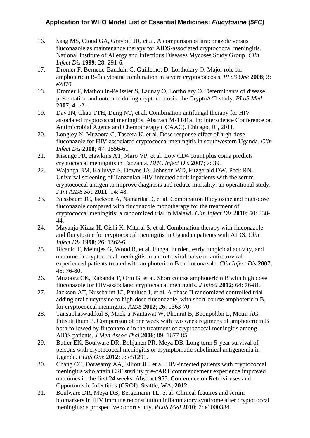- 16. Saag MS, Cloud GA, Graybill JR, et al. A comparison of itraconazole versus fluconazole as maintenance therapy for AIDS-associated cryptococcal meningitis. National Institute of Allergy and Infectious Diseases Mycoses Study Group. *Clin Infect Dis* **1999**; 28: 291-6.
- 17. Dromer F, Bernede-Bauduin C, Guillemot D, Lortholary O. Major role for amphotericin B-flucytosine combination in severe cryptococcosis. *PLoS One* **2008**; 3: e2870.
- 18. Dromer F, Mathoulin-Pelissier S, Launay O, Lortholary O. Determinants of disease presentation and outcome during cryptococcosis: the CryptoA/D study. *PLoS Med* **2007**; 4: e21.
- <span id="page-14-0"></span>19. Day JN, Chau TTH, Dung NT, et al. Combination antifungal therapy for HIV associated cryptococcal meningitis. Abstract M-1141a. In: Interscience Conference on Antimicrobial Agents and Chemotherapy (ICAAC). Chicago, IL, 2011.
- <span id="page-14-1"></span>20. Longley N, Muzoora C, Taseera K, et al. Dose response effect of high-dose fluconazole for HIV-associated cryptococcal meningitis in southwestern Uganda. *Clin Infect Dis* **2008**; 47: 1556-61.
- 21. Kisenge PR, Hawkins AT, Maro VP, et al. Low CD4 count plus coma predicts cryptococcal meningitis in Tanzania. *BMC Infect Dis* **2007**; 7: 39.
- <span id="page-14-6"></span>22. Wajanga BM, Kalluvya S, Downs JA, Johnson WD, Fitzgerald DW, Peck RN. Universal screening of Tanzanian HIV-infected adult inpatients with the serum cryptococcal antigen to improve diagnosis and reduce mortality: an operational study. *J Int AIDS Soc* **2011**; 14: 48.
- <span id="page-14-2"></span>23. Nussbaum JC, Jackson A, Namarika D, et al. Combination flucytosine and high-dose fluconazole compared with fluconazole monotherapy for the treatment of cryptococcal meningitis: a randomized trial in Malawi. *Clin Infect Dis* **2010**; 50: 338- 44.
- <span id="page-14-3"></span>24. Mayanja-Kizza H, Oishi K, Mitarai S, et al. Combination therapy with fluconazole and flucytosine for cryptococcal meningitis in Ugandan patients with AIDS. *Clin Infect Dis* **1998**; 26: 1362-6.
- <span id="page-14-4"></span>25. Bicanic T, Meintjes G, Wood R, et al. Fungal burden, early fungicidal activity, and outcome in cryptococcal meningitis in antiretroviral-naive or antiretroviralexperienced patients treated with amphotericin B or fluconazole. *Clin Infect Dis* **2007**; 45: 76-80.
- 26. Muzoora CK, Kabanda T, Ortu G, et al. Short course amphotericin B with high dose fluconazole for HIV-associated cryptococcal meningitis. *J Infect* **2012**; 64: 76-81.
- <span id="page-14-7"></span>27. Jackson AT, Nussbaum JC, Phulusa J, et al. A phase II randomized controlled trial adding oral flucytosine to high-dose fluconazole, with short-course amphotericin B, for cryptococcal meningitis. *AIDS* **2012**; 26: 1363-70.
- <span id="page-14-5"></span>28. Tansuphaswadikul S, Maek-a-Nantawat W, Phonrat B, Boonpokbn L, Mctm AG, Pitisuttithum P. Comparison of one week with two week regimens of amphotericin B both followed by fluconazole in the treatment of cryptococcal meningitis among AIDS patients. *J Med Assoc Thai* **2006**; 89: 1677-85.
- 29. Butler EK, Boulware DR, Bohjanen PR, Meya DB. Long term 5-year survival of persons with cryptococcal meningitis or asymptomatic subclinical antigenemia in Uganda. *PLoS One* **2012**; 7: e51291.
- 30. Chang CC, Dorasamy AA, Elliott JH, et al. HIV-infected patients with cryptococcal meningitis who attain CSF sterility pre-cART commencement experience improved outcomes in the first 24 weeks. Abstract 955. Conference on Retroviruses and Opportunistic Infections (CROI). Seattle, WA, **2012**.
- 31. Boulware DR, Meya DB, Bergemann TL, et al. Clinical features and serum biomarkers in HIV immune reconstitution inflammatory syndrome after cryptococcal meningitis: a prospective cohort study. *PLoS Med* **2010**; 7: e1000384.